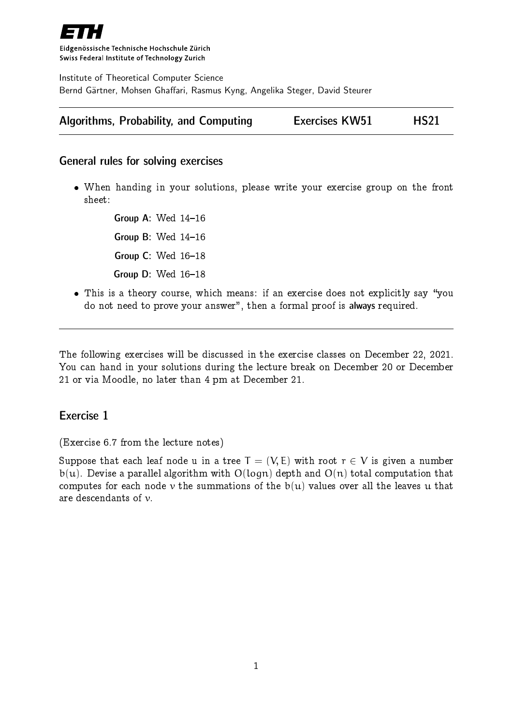

Eidgenössische Technische Hochschule Zürich Swiss Federal Institute of Technology Zurich

Institute of Theoretical Computer Science Bernd Gärtner, Mohsen Ghaffari, Rasmus Kyng, Angelika Steger, David Steurer

| Algorithms, Probability, and Computing | <b>Exercises KW51</b> | <b>HS21</b> |
|----------------------------------------|-----------------------|-------------|
|----------------------------------------|-----------------------|-------------|

#### General rules for solving exercises

 When handing in your solutions, please write your exercise group on the front sheet:

> Group A: Wed  $14-16$ Group B: Wed  $14-16$ Group C: Wed  $16-18$ Group D: Wed  $16-18$

• This is a theory course, which means: if an exercise does not explicitly say "you do not need to prove your answer", then a formal proof is always required.

The following exercises will be discussed in the exercise classes on December 22, 2021. You can hand in your solutions during the lecture break on December 20 or December 21 or via Moodle, no later than 4 pm at December 21.

#### Exercise 1

(Exercise 6.7 from the lecture notes)

Suppose that each leaf node u in a tree  $T = (V, E)$  with root  $r \in V$  is given a number  $b(u)$ . Devise a parallel algorithm with  $O(logn)$  depth and  $O(n)$  total computation that computes for each node v the summations of the  $b(u)$  values over all the leaves u that are descendants of v.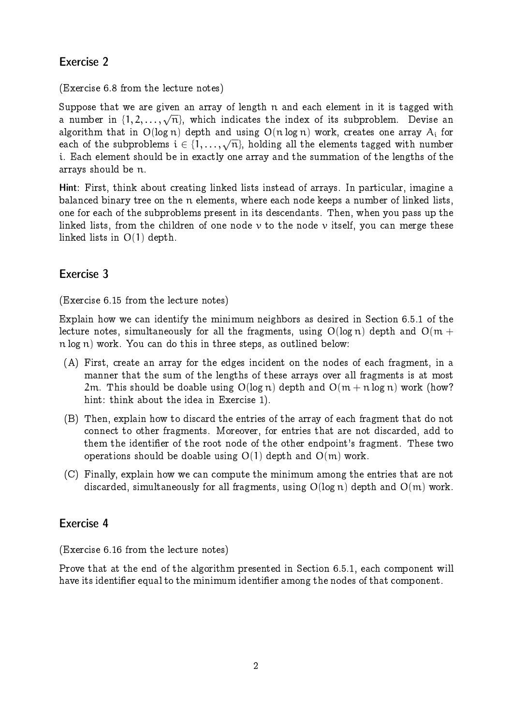# Exercise 2

(Exercise 6.8 from the lecture notes)

Suppose that we are given an array of length n and each element in it is tagged with a number in  $\{1, 2, ..., \sqrt{n}\}$ , which indicates the index of its subproblem. Devise an algorithm that in  $O(log n)$  depth and using  $O(n log n)$  work, creates one array  $A_i$  for each of the subproblems  $i \in \{1, ..., \sqrt{n}\}$ , holding all the elements tagged with number i. Each element should be in exactly one array and the summation of the lengths of the arrays should be n.

Hint: First, think about creating linked lists instead of arrays. In particular, imagine a balanced binary tree on the n elements, where each node keeps a number of linked lists, one for each of the subproblems present in its descendants. Then, when you pass up the linked lists, from the children of one node  $\nu$  to the node  $\nu$  itself, you can merge these linked lists in O(1) depth.

## Exercise 3

(Exercise 6.15 from the lecture notes)

Explain how we can identify the minimum neighbors as desired in Section 6.5.1 of the lecture notes, simultaneously for all the fragments, using  $O(log n)$  depth and  $O(m +$ n log n) work. You can do this in three steps, as outlined below:

- (A) First, create an array for the edges incident on the nodes of each fragment, in a manner that the sum of the lengths of these arrays over all fragments is at most 2m. This should be doable using  $O(log n)$  depth and  $O(m + n log n)$  work (how? hint: think about the idea in Exercise 1).
- (B) Then, explain how to discard the entries of the array of each fragment that do not connect to other fragments. Moreover, for entries that are not discarded, add to them the identier of the root node of the other endpoint's fragment. These two operations should be doable using  $O(1)$  depth and  $O(m)$  work.
- (C) Finally, explain how we can compute the minimum among the entries that are not discarded, simultaneously for all fragments, using  $O(log n)$  depth and  $O(m)$  work.

#### Exercise 4

(Exercise 6.16 from the lecture notes)

Prove that at the end of the algorithm presented in Section 6.5.1, each component will have its identifier equal to the minimum identifier among the nodes of that component.